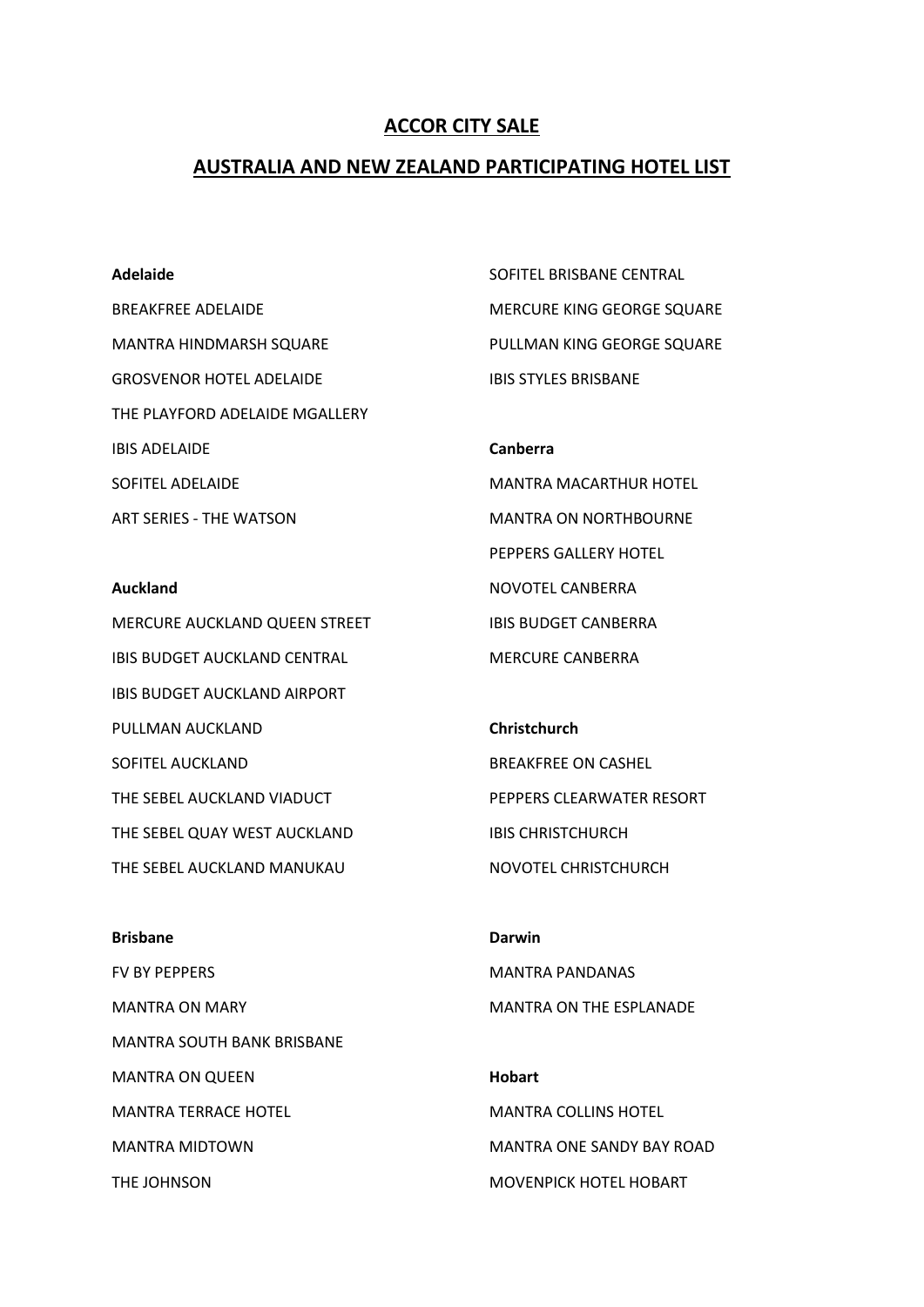## **ACCOR CITY SALE**

## **AUSTRALIA AND NEW ZEALAND PARTICIPATING HOTEL LIST**

#### **Adelaide**

BREAKFREE ADELAIDE MANTRA HINDMARSH SQUARE GROSVENOR HOTEL ADELAIDE THE PLAYFORD ADELAIDE MGALLERY IBIS ADELAIDE SOFITEL ADELAIDE ART SERIES - THE WATSON

**Auckland** MERCURE AUCKLAND QUEEN STREET IBIS BUDGET AUCKLAND CENTRAL IBIS BUDGET AUCKLAND AIRPORT PULLMAN AUCKLAND SOFITEL AUCKLAND THE SEBEL AUCKLAND VIADUCT THE SEBEL QUAY WEST AUCKLAND THE SEBEL AUCKLAND MANUKAU

SOFITEL BRISBANE CENTRAL MERCURE KING GEORGE SQUARE PULLMAN KING GEORGE SQUARE IBIS STYLES BRISBANE

MANTRA MACARTHUR HOTEL MANTRA ON NORTHBOURNE PEPPERS GALLERY HOTEL NOVOTEL CANBERRA IBIS BUDGET CANBERRA MERCURE CANBERRA

**Canberra**

**Christchurch** BREAKFREE ON CASHEL PEPPERS CLEARWATER RESORT IBIS CHRISTCHURCH NOVOTEL CHRISTCHURCH

**Brisbane** FV BY PEPPERS MANTRA ON MARY MANTRA SOUTH BANK BRISBANE MANTRA ON QUEEN MANTRA TERRACE HOTEL MANTRA MIDTOWN THE JOHNSON **Darwin** MANTRA PANDANAS MANTRA ON THE ESPLANADE **Hobart** MANTRA COLLINS HOTEL MANTRA ONE SANDY BAY ROAD MOVENPICK HOTEL HOBART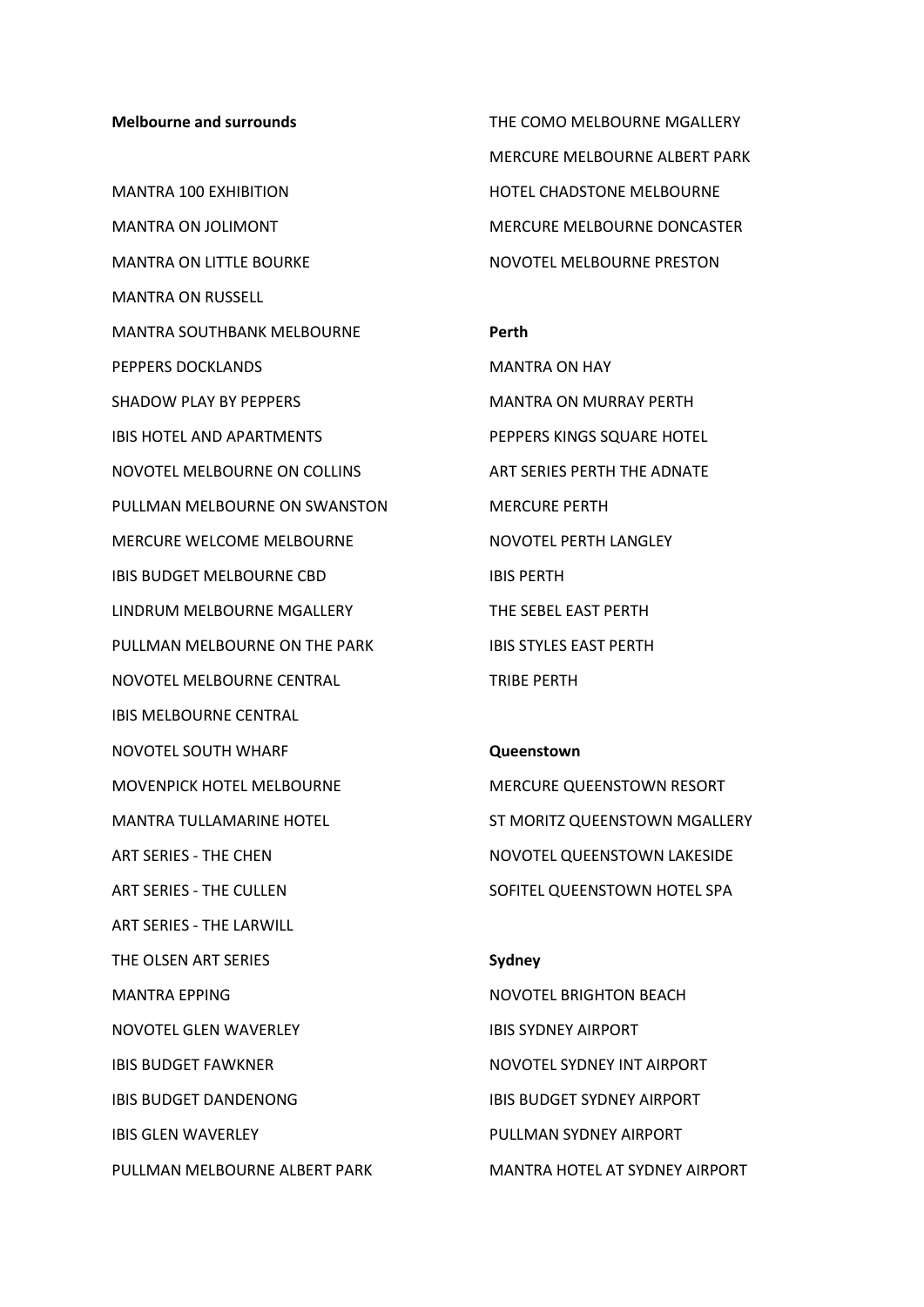#### **Melbourne and surrounds**

MANTRA 100 EXHIBITION MANTRA ON JOLIMONT MANTRA ON LITTLE BOURKE MANTRA ON RUSSELL MANTRA SOUTHBANK MELBOURNE PEPPERS DOCKLANDS SHADOW PLAY BY PEPPERS IBIS HOTEL AND APARTMENTS NOVOTEL MELBOURNE ON COLLINS PULLMAN MELBOURNE ON SWANSTON MERCURE WELCOME MELBOURNE IBIS BUDGET MELBOURNE CBD LINDRUM MELBOURNE MGALLERY PULLMAN MELBOURNE ON THE PARK NOVOTEL MELBOURNE CENTRAL IBIS MELBOURNE CENTRAL NOVOTEL SOUTH WHARF MOVENPICK HOTEL MELBOURNE MANTRA TULLAMARINE HOTEL ART SERIES - THE CHEN ART SERIES - THE CULLEN ART SERIES - THE LARWILL THE OLSEN ART SERIES MANTRA EPPING NOVOTEL GLEN WAVERLEY IBIS BUDGET FAWKNER IBIS BUDGET DANDENONG IBIS GLEN WAVERLEY PULLMAN MELBOURNE ALBERT PARK

THE COMO MELBOURNE MGALLERY MERCURE MELBOURNE ALBERT PARK HOTEL CHADSTONE MELBOURNE MERCURE MELBOURNE DONCASTER NOVOTEL MELBOURNE PRESTON

#### **Perth**

MANTRA ON HAY MANTRA ON MURRAY PERTH PEPPERS KINGS SQUARE HOTEL ART SERIES PERTH THE ADNATE MERCURE PERTH NOVOTEL PERTH LANGLEY IBIS PERTH THE SEBEL EAST PERTH IBIS STYLES EAST PERTH TRIBE PERTH

# **Queenstown**

MERCURE QUEENSTOWN RESORT ST MORITZ QUEENSTOWN MGALLERY NOVOTEL QUEENSTOWN LAKESIDE SOFITEL QUEENSTOWN HOTEL SPA

# **Sydney** NOVOTEL BRIGHTON BEACH IBIS SYDNEY AIRPORT NOVOTEL SYDNEY INT AIRPORT IBIS BUDGET SYDNEY AIRPORT PULLMAN SYDNEY AIRPORT MANTRA HOTEL AT SYDNEY AIRPORT